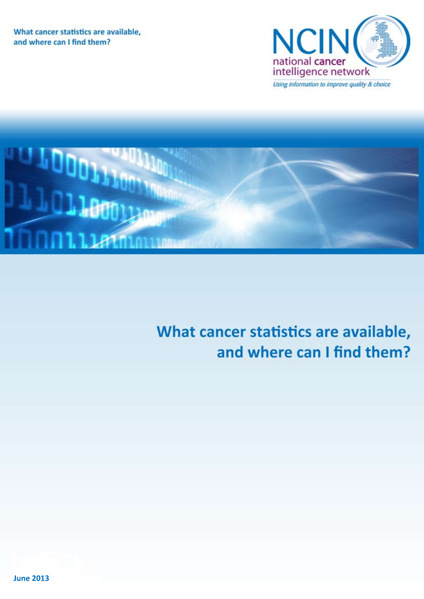What cancer statistics are available, and where can I find them?





# What cancer statistics are available, and where can I find them?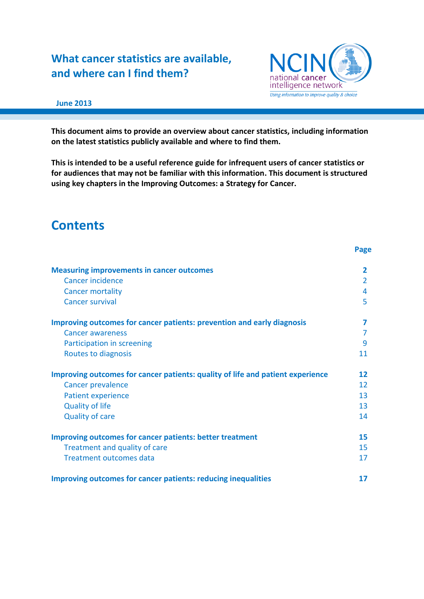### **What cancer statistics are available, and where can I find them?**



### **June 2013**

**This document aims to provide an overview about cancer statistics, including information on the latest statistics publicly available and where to find them.** 

**This is intended to be a useful reference guide for infrequent users of cancer statistics or for audiences that may not be familiar with this information. This document is structured using key chapters in the Improving Outcomes: a Strategy for Cancer.**

### **Contents**

| <b>Measuring improvements in cancer outcomes</b><br>Cancer incidence           | $\mathbf{2}$<br>$\overline{2}$ |
|--------------------------------------------------------------------------------|--------------------------------|
|                                                                                | 4                              |
| <b>Cancer mortality</b><br><b>Cancer survival</b>                              | 5                              |
|                                                                                |                                |
| Improving outcomes for cancer patients: prevention and early diagnosis         | 7                              |
| <b>Cancer awareness</b>                                                        | 7                              |
| Participation in screening                                                     | 9                              |
| Routes to diagnosis                                                            | 11                             |
| Improving outcomes for cancer patients: quality of life and patient experience | 12                             |
| <b>Cancer prevalence</b>                                                       | 12                             |
| <b>Patient experience</b>                                                      | 13                             |
| <b>Quality of life</b>                                                         | 13                             |
| <b>Quality of care</b>                                                         | 14                             |
| <b>Improving outcomes for cancer patients: better treatment</b>                | 15                             |
| Treatment and quality of care                                                  | 15                             |
| <b>Treatment outcomes data</b>                                                 | 17                             |
| <b>Improving outcomes for cancer patients: reducing inequalities</b>           | 17                             |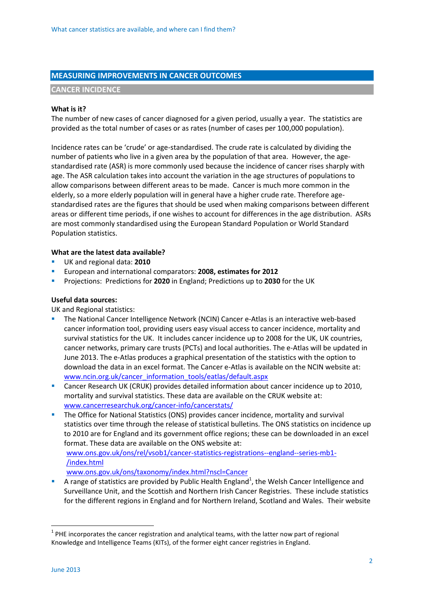### **MEASURING IMPROVEMENTS IN CANCER OUTCOMES**

### **CANCER INCIDENCE**

### **What is it?**

The number of new cases of cancer diagnosed for a given period, usually a year. The statistics are provided as the total number of cases or as rates (number of cases per 100,000 population).

Incidence rates can be 'crude' or age-standardised. The crude rate is calculated by dividing the number of patients who live in a given area by the population of that area. However, the agestandardised rate (ASR) is more commonly used because the incidence of cancer rises sharply with age. The ASR calculation takes into account the variation in the age structures of populations to allow comparisons between different areas to be made. Cancer is much more common in the elderly, so a more elderly population will in general have a higher crude rate. Therefore agestandardised rates are the figures that should be used when making comparisons between different areas or different time periods, if one wishes to account for differences in the age distribution. ASRs are most commonly standardised using the European Standard Population or World Standard Population statistics.

### **What are the latest data available?**

- UK and regional data: **2010**
- European and international comparators: **2008, estimates for 2012**
- Projections: Predictions for **2020** in England; Predictions up to **2030** for the UK

### **Useful data sources:**

UK and Regional statistics:

- The National Cancer Intelligence Network (NCIN) Cancer e-Atlas is an interactive web-based cancer information tool, providing users easy visual access to cancer incidence, mortality and survival statistics for the UK. It includes cancer incidence up to 2008 for the UK, UK countries, cancer networks, primary care trusts (PCTs) and local authorities. The e-Atlas will be updated in June 2013. The e-Atlas produces a graphical presentation of the statistics with the option to download the data in an excel format. The Cancer e-Atlas is available on the NCIN website at: [www.ncin.org.uk/cancer\\_information\\_tools/eatlas/default.aspx](http://www.ncin.org.uk/cancer_information_tools/eatlas/default.aspx)
- Cancer Research UK (CRUK) provides detailed information about cancer incidence up to 2010, mortality and survival statistics. These data are available on the CRUK website at: [www.cancerresearchuk.org/cancer-info/cancerstats/](http://www.cancerresearchuk.org/cancer-info/cancerstats/)
- **The Office for National Statistics (ONS) provides cancer incidence, mortality and survival** statistics over time through the release of statistical bulletins. The ONS statistics on incidence up to 2010 are for England and its government office regions; these can be downloaded in an excel format. These data are available on the ONS website at:

[www.ons.gov.uk/ons/rel/vsob1/cancer-statistics-registrations--england--series-mb1-](http://www.ons.gov.uk/ons/rel/vsob1/cancer-statistics-registrations--england--series-mb1-/index.html) [/index.html](http://www.ons.gov.uk/ons/rel/vsob1/cancer-statistics-registrations--england--series-mb1-/index.html)

[www.ons.gov.uk/ons/taxonomy/index.html?nscl=Cancer](http://www.ons.gov.uk/ons/taxonomy/index.html?nscl=Cancer)

A range of statistics are provided by Public Health England<sup>1</sup>, the Welsh Cancer Intelligence and Surveillance Unit, and the Scottish and Northern Irish Cancer Registries. These include statistics for the different regions in England and for Northern Ireland, Scotland and Wales. Their website

**.** 

 $1$  PHE incorporates the cancer registration and analytical teams, with the latter now part of regional Knowledge and Intelligence Teams (KITs), of the former eight cancer registries in England.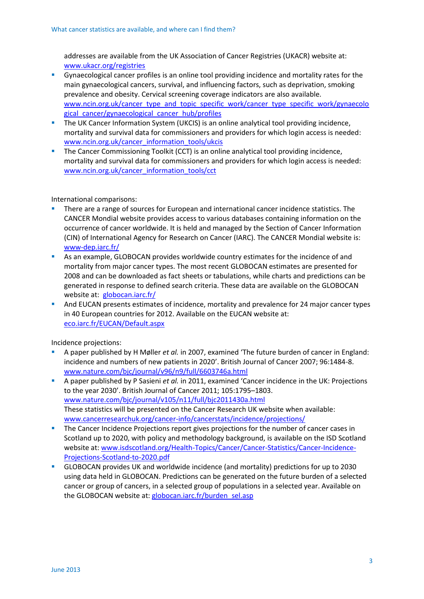addresses are available from the UK Association of Cancer Registries (UKACR) website at: [www.ukacr.org/registries](http://www.ukacr.org/registries)

- Gynaecological cancer profiles is an online tool providing incidence and mortality rates for the main gynaecological cancers, survival, and influencing factors, such as deprivation, smoking prevalence and obesity. Cervical screening coverage indicators are also available. [www.ncin.org.uk/cancer\\_type\\_and\\_topic\\_specific\\_work/cancer\\_type\\_specific\\_work/gynaecolo](http://www.ncin.org.uk/cancer_type_and_topic_specific_work/cancer_type_specific_work/gynaecological_cancer/gynaecological_cancer_hub/profiles) [gical\\_cancer/gynaecological\\_cancer\\_hub/profiles](http://www.ncin.org.uk/cancer_type_and_topic_specific_work/cancer_type_specific_work/gynaecological_cancer/gynaecological_cancer_hub/profiles)
- **The UK Cancer Information System (UKCIS) is an online analytical tool providing incidence,** mortality and survival data for commissioners and providers for which login access is needed: [www.ncin.org.uk/cancer\\_information\\_tools/ukcis](http://www.ncin.org.uk/cancer_information_tools/ukcis)
- The Cancer Commissioning Toolkit (CCT) is an online analytical tool providing incidence, mortality and survival data for commissioners and providers for which login access is needed: [www.ncin.org.uk/cancer\\_information\\_tools/cct](http://www.ncin.org.uk/cancer_information_tools/cct)

International comparisons:

- There are a range of sources for European and international cancer incidence statistics. The CANCER Mondial website provides access to various databases containing information on the occurrence of cancer worldwide. It is held and managed by the Section of Cancer Information (CIN) of International Agency for Research on Cancer (IARC). The CANCER Mondial website is: [www-dep.iarc.fr/](http://www-dep.iarc.fr/)
- As an example, GLOBOCAN provides worldwide country estimates for the incidence of and mortality from major cancer types. The most recent GLOBOCAN estimates are presented for 2008 and can be downloaded as fact sheets or tabulations, while charts and predictions can be generated in response to defined search criteria. These data are available on the GLOBOCAN website at: [globocan.iarc.fr/](http://globocan.iarc.fr/)
- And EUCAN presents estimates of incidence, mortality and prevalence for 24 major cancer types in 40 European countries for 2012. Available on the EUCAN website at: [eco.iarc.fr/EUCAN/Default.aspx](http://eco.iarc.fr/EUCAN/Default.aspx)

Incidence projections:

- A paper published by H Møller *et al.* in 2007, examined 'The future burden of cancer in England: incidence and numbers of new patients in 2020'. British Journal of Cancer 2007; 96:1484-8. [www.nature.com/bjc/journal/v96/n9/full/6603746a.html](http://www.nature.com/bjc/journal/v96/n9/full/6603746a.html)
- A paper published by P Sasieni *et al.* in 2011, examined 'Cancer incidence in the UK: Projections to the year 2030'. British Journal of Cancer 2011; 105:1795–1803. [www.nature.com/bjc/journal/v105/n11/full/bjc2011430a.html](http://www.nature.com/bjc/journal/v105/n11/full/bjc2011430a.html) These statistics will be presented on the Cancer Research UK website when available: [www.cancerresearchuk.org/cancer-info/cancerstats/incidence/projections/](http://www.cancerresearchuk.org/cancer-info/cancerstats/incidence/projections/)
- The Cancer Incidence Projections report gives projections for the number of cancer cases in Scotland up to 2020, with policy and methodology background, is available on the ISD Scotland website at: [www.isdscotland.org/Health-Topics/Cancer/Cancer-Statistics/Cancer-Incidence-](http://www.isdscotland.org/Health-Topics/Cancer/Cancer-Statistics/Cancer-Incidence-Projections-Scotland-to-2020.pdf)[Projections-Scotland-to-2020.pdf](http://www.isdscotland.org/Health-Topics/Cancer/Cancer-Statistics/Cancer-Incidence-Projections-Scotland-to-2020.pdf)
- GLOBOCAN provides UK and worldwide incidence (and mortality) predictions for up to 2030 using data held in GLOBOCAN. Predictions can be generated on the future burden of a selected cancer or group of cancers, in a selected group of populations in a selected year. Available on the GLOBOCAN website at: [globocan.iarc.fr/burden\\_sel.asp](http://globocan.iarc.fr/burden_sel.asp)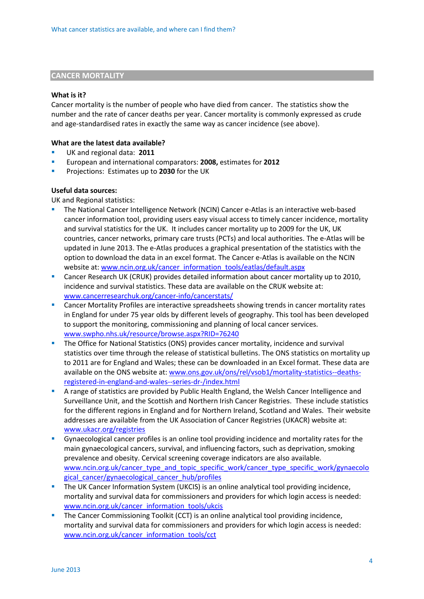### **CANCER MORTALITY**

#### **What is it?**

Cancer mortality is the number of people who have died from cancer. The statistics show the number and the rate of cancer deaths per year. Cancer mortality is commonly expressed as crude and age-standardised rates in exactly the same way as cancer incidence (see above).

### **What are the latest data available?**

- UK and regional data: **2011**
- European and international comparators: **2008,** estimates for **2012**
- **Projections: Estimates up to 2030 for the UK**

### **Useful data sources:**

UK and Regional statistics:

- The National Cancer Intelligence Network (NCIN) Cancer e-Atlas is an interactive web-based cancer information tool, providing users easy visual access to timely cancer incidence, mortality and survival statistics for the UK. It includes cancer mortality up to 2009 for the UK, UK countries, cancer networks, primary care trusts (PCTs) and local authorities. The e-Atlas will be updated in June 2013. The e-Atlas produces a graphical presentation of the statistics with the option to download the data in an excel format. The Cancer e-Atlas is available on the NCIN website at: [www.ncin.org.uk/cancer\\_information\\_tools/eatlas/default.aspx](http://www.ncin.org.uk/cancer_information_tools/eatlas/default.aspx)
- Cancer Research UK (CRUK) provides detailed information about cancer mortality up to 2010, incidence and survival statistics. These data are available on the CRUK website at: [www.cancerresearchuk.org/cancer-info/cancerstats/](http://www.cancerresearchuk.org/cancer-info/cancerstats/)
- Cancer Mortality Profiles are interactive spreadsheets showing trends in cancer mortality rates in England for under 75 year olds by different levels of geography. This tool has been developed to support the monitoring, commissioning and planning of local cancer services. [www.swpho.nhs.uk/resource/browse.aspx?RID=76240](http://www.swpho.nhs.uk/resource/browse.aspx?RID=76240)
- The Office for National Statistics (ONS) provides cancer mortality, incidence and survival statistics over time through the release of statistical bulletins. The ONS statistics on mortality up to 2011 are for England and Wales; these can be downloaded in an Excel format. These data are available on the ONS website at: [www.ons.gov.uk/ons/rel/vsob1/mortality-statistics--deaths](http://www.ons.gov.uk/ons/rel/vsob1/mortality-statistics--deaths-registered-in-england-and-wales--series-dr-/index.html)[registered-in-england-and-wales--series-dr-/index.html](http://www.ons.gov.uk/ons/rel/vsob1/mortality-statistics--deaths-registered-in-england-and-wales--series-dr-/index.html)
- A range of statistics are provided by Public Health England, the Welsh Cancer Intelligence and Surveillance Unit, and the Scottish and Northern Irish Cancer Registries. These include statistics for the different regions in England and for Northern Ireland, Scotland and Wales. Their website addresses are available from the UK Association of Cancer Registries (UKACR) website at: [www.ukacr.org/registries](http://www.ukacr.org/registries)
- Gynaecological cancer profiles is an online tool providing incidence and mortality rates for the main gynaecological cancers, survival, and influencing factors, such as deprivation, smoking prevalence and obesity. Cervical screening coverage indicators are also available. [www.ncin.org.uk/cancer\\_type\\_and\\_topic\\_specific\\_work/cancer\\_type\\_specific\\_work/gynaecolo](http://www.ncin.org.uk/cancer_type_and_topic_specific_work/cancer_type_specific_work/gynaecological_cancer/gynaecological_cancer_hub/profiles) gical cancer/gynaecological cancer hub/profiles
- The UK Cancer Information System (UKCIS) is an online analytical tool providing incidence, mortality and survival data for commissioners and providers for which login access is needed: [www.ncin.org.uk/cancer\\_information\\_tools/ukcis](http://www.ncin.org.uk/cancer_information_tools/ukcis)
- The Cancer Commissioning Toolkit (CCT) is an online analytical tool providing incidence, mortality and survival data for commissioners and providers for which login access is needed: [www.ncin.org.uk/cancer\\_information\\_tools/cct](http://www.ncin.org.uk/cancer_information_tools/cct)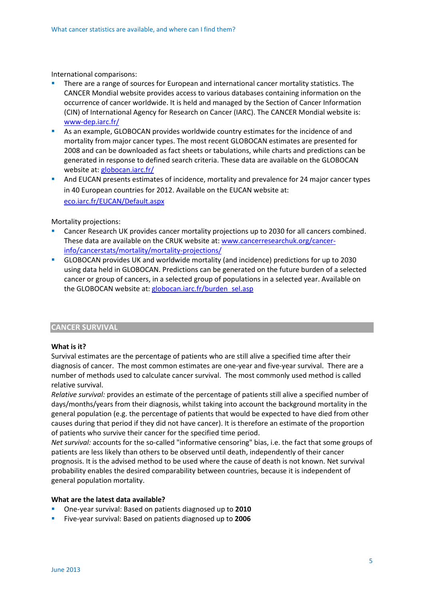International comparisons:

- There are a range of sources for European and international cancer mortality statistics. The CANCER Mondial website provides access to various databases containing information on the occurrence of cancer worldwide. It is held and managed by the Section of Cancer Information (CIN) of International Agency for Research on Cancer (IARC). The CANCER Mondial website is: [www-dep.iarc.fr/](http://www-dep.iarc.fr/)
- As an example, GLOBOCAN provides worldwide country estimates for th[e incidence](http://globocan.iarc.fr/glossary.htm#INCIDENCE) of and [mortality](http://globocan.iarc.fr/glossary.htm#MORTALITY) from major cancer types. The most recent GLOBOCAN estimates are presented for 2008 and can be downloaded as fact sheets or tabulations, while charts and predictions can be generated in response to defined search criteria. These data are available on the GLOBOCAN website at: [globocan.iarc.fr/](http://globocan.iarc.fr/)
- **And EUCAN presents estimates of incidence, mortality and prevalence for 24 major cancer types** in 40 European countries for 2012. Available on the EUCAN website at: [eco.iarc.fr/EUCAN/Default.aspx](http://eco.iarc.fr/EUCAN/Default.aspx)

Mortality projections:

- Cancer Research UK provides cancer mortality projections up to 2030 for all cancers combined. These data are available on the CRUK website at: [www.cancerresearchuk.org/cancer](http://www.cancerresearchuk.org/cancer-info/cancerstats/mortality/mortality-projections/)[info/cancerstats/mortality/mortality-projections/](http://www.cancerresearchuk.org/cancer-info/cancerstats/mortality/mortality-projections/)
- GLOBOCAN provides UK and worldwide mortality (and incidence) predictions for up to 2030 using data held in GLOBOCAN. Predictions can be generated on the future burden of a selected cancer or group of cancers, in a selected group of populations in a selected year. Available on the GLOBOCAN website at: [globocan.iarc.fr/burden\\_sel.asp](http://globocan.iarc.fr/burden_sel.asp)

### **CANCER SURVIVAL**

### **What is it?**

Survival estimates are the percentage of patients who are still alive a specified time after their diagnosis of cancer. The most common estimates are one-year and five-year survival. There are a number of methods used to calculate cancer survival. The most commonly used method is called relative survival.

*Relative survival:* provides an estimate of the percentage of patients still alive a specified number of days/months/years from their diagnosis, whilst taking into account the background mortality in the general population (e.g. the percentage of patients that would be expected to have died from other causes during that period if they did not have cancer). It is therefore an estimate of the proportion of patients who survive their cancer for the specified time period.

*Net survival:* accounts for the so-called "informative censoring" bias, i.e. the fact that some groups of patients are less likely than others to be observed until death, independently of their cancer prognosis. It is the advised method to be used where the cause of death is not known. Net survival probability enables the desired comparability between countries, because it is independent of general population mortality.

### **What are the latest data available?**

- One-year survival: Based on patients diagnosed up to **2010**
- Five-year survival: Based on patients diagnosed up to **2006**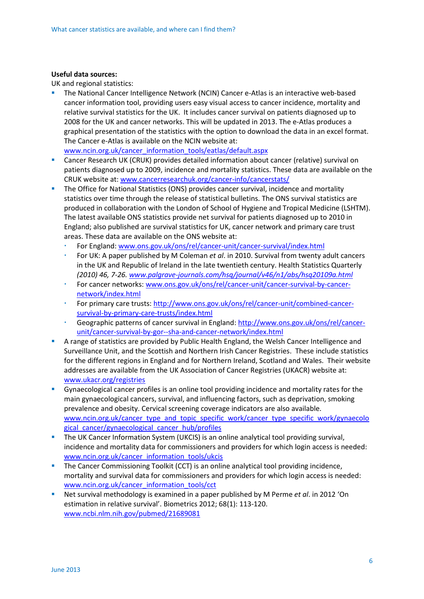### **Useful data sources:**

UK and regional statistics:

 The National Cancer Intelligence Network (NCIN) Cancer e-Atlas is an interactive web-based cancer information tool, providing users easy visual access to cancer incidence, mortality and relative survival statistics for the UK. It includes cancer survival on patients diagnosed up to 2008 for the UK and cancer networks. This will be updated in 2013. The e-Atlas produces a graphical presentation of the statistics with the option to download the data in an excel format. The Cancer e-Atlas is available on the NCIN website at:

[www.ncin.org.uk/cancer\\_information\\_tools/eatlas/default.aspx](http://www.ncin.org.uk/cancer_information_tools/eatlas/default.aspx)

- Cancer Research UK (CRUK) provides detailed information about cancer (relative) survival on patients diagnosed up to 2009, incidence and mortality statistics. These data are available on the CRUK website at: [www.cancerresearchuk.org/cancer-info/cancerstats/](http://www.cancerresearchuk.org/cancer-info/cancerstats/)
- **The Office for National Statistics (ONS) provides cancer survival, incidence and mortality** statistics over time through the release of statistical bulletins. The ONS survival statistics are produced in collaboration with the London of School of Hygiene and Tropical Medicine (LSHTM). The latest available ONS statistics provide net survival for patients diagnosed up to 2010 in England; also published are survival statistics for UK, cancer network and primary care trust areas. These data are available on the ONS website at:
	- For England: [www.ons.gov.uk/ons/rel/cancer-unit/cancer-survival/index.html](http://www.ons.gov.uk/ons/rel/cancer-unit/cancer-survival/index.html)
	- For UK: A paper published by M Coleman *et al*. in 2010. Survival from twenty adult cancers in the UK and Republic of Ireland in the late twentieth century. Health Statistics Quarterly *(2010) 46, 7-26. [www.palgrave-journals.com/hsq/journal/v46/n1/abs/hsq20109a.html](http://www.palgrave-journals.com/hsq/journal/v46/n1/abs/hsq20109a.html)*
	- For cancer networks[: www.ons.gov.uk/ons/rel/cancer-unit/cancer-survival-by-cancer](http://www.ons.gov.uk/ons/rel/cancer-unit/cancer-survival-by-cancer-network/index.html)[network/index.html](http://www.ons.gov.uk/ons/rel/cancer-unit/cancer-survival-by-cancer-network/index.html)
	- For primary care trusts: [http://www.ons.gov.uk/ons/rel/cancer-unit/combined-cancer](http://www.ons.gov.uk/ons/rel/cancer-unit/combined-cancer-survival-by-primary-care-trusts/index.html)[survival-by-primary-care-trusts/index.html](http://www.ons.gov.uk/ons/rel/cancer-unit/combined-cancer-survival-by-primary-care-trusts/index.html)
	- Geographic patterns of cancer survival in England: [http://www.ons.gov.uk/ons/rel/cancer](http://www.ons.gov.uk/ons/rel/cancer-unit/cancer-survival-by-gor--sha-and-cancer-network/index.html)[unit/cancer-survival-by-gor--sha-and-cancer-network/index.html](http://www.ons.gov.uk/ons/rel/cancer-unit/cancer-survival-by-gor--sha-and-cancer-network/index.html)
- A range of statistics are provided by Public Health England, the Welsh Cancer Intelligence and Surveillance Unit, and the Scottish and Northern Irish Cancer Registries. These include statistics for the different regions in England and for Northern Ireland, Scotland and Wales. Their website addresses are available from the UK Association of Cancer Registries (UKACR) website at: [www.ukacr.org/registries](http://www.ukacr.org/registries)
- Gynaecological cancer profiles is an online tool providing incidence and mortality rates for the main gynaecological cancers, survival, and influencing factors, such as deprivation, smoking prevalence and obesity. Cervical screening coverage indicators are also available. [www.ncin.org.uk/cancer\\_type\\_and\\_topic\\_specific\\_work/cancer\\_type\\_specific\\_work/gynaecolo](http://www.ncin.org.uk/cancer_type_and_topic_specific_work/cancer_type_specific_work/gynaecological_cancer/gynaecological_cancer_hub/profiles) [gical\\_cancer/gynaecological\\_cancer\\_hub/profiles](http://www.ncin.org.uk/cancer_type_and_topic_specific_work/cancer_type_specific_work/gynaecological_cancer/gynaecological_cancer_hub/profiles)
- The UK Cancer Information System (UKCIS) is an online analytical tool providing survival, incidence and mortality data for commissioners and providers for which login access is needed: [www.ncin.org.uk/cancer\\_information\\_tools/ukcis](http://www.ncin.org.uk/cancer_information_tools/ukcis)
- **The Cancer Commissioning Toolkit (CCT) is an online analytical tool providing incidence,** mortality and survival data for commissioners and providers for which login access is needed: [www.ncin.org.uk/cancer\\_information\\_tools/cct](http://www.ncin.org.uk/cancer_information_tools/cct)
- Net survival methodology is examined in a paper published by M Perme *et al*. in 2012 'On estimation in relative survival'. Biometrics 2012; 68(1): 113-120. [www.ncbi.nlm.nih.gov/pubmed/21689081](http://www.ncbi.nlm.nih.gov/pubmed/21689081)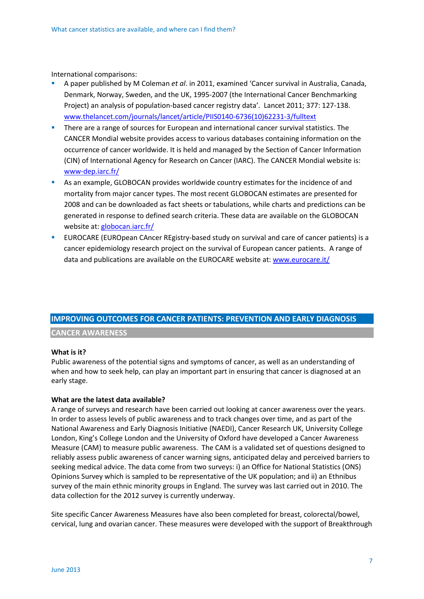International comparisons:

- A paper published by M Coleman *et al*. in 2011, examined 'Cancer survival in Australia, Canada, Denmark, Norway, Sweden, and the UK, 1995-2007 (the International Cancer Benchmarking Project) an analysis of population-based cancer registry data'. Lancet 2011; 377: 127-138. [www.thelancet.com/journals/lancet/article/PIIS0140-6736\(10\)62231-3/fulltext](http://www.thelancet.com/journals/lancet/article/PIIS0140-6736(10)62231-3/fulltext)
- **There are a range of sources for European and international cancer survival statistics. The** CANCER Mondial website provides access to various databases containing information on the occurrence of cancer worldwide. It is held and managed by the Section of Cancer Information (CIN) of International Agency for Research on Cancer (IARC). The CANCER Mondial website is: [www-dep.iarc.fr/](http://www-dep.iarc.fr/)
- As an example, GLOBOCAN provides worldwide country estimates for the incidence of and mortality from major cancer types. The most recent GLOBOCAN estimates are presented for 2008 and can be downloaded as fact sheets or tabulations, while charts and predictions can be generated in response to defined search criteria. These data are available on the GLOBOCAN website at: [globocan.iarc.fr/](http://globocan.iarc.fr/)
- EUROCARE (EUROpean CAncer REgistry-based study on survival and care of cancer patients) is a cancer epidemiology research project on the survival of European cancer patients. A range of data and publications are available on the EUROCARE website at: [www.eurocare.it/](http://www.eurocare.it/)

### **IMPROVING OUTCOMES FOR CANCER PATIENTS: PREVENTION AND EARLY DIAGNOSIS**

### **CANCER AWARENESS**

### **What is it?**

Public awareness of the potential signs and symptoms of cancer, as well as an understanding of when and how to seek help, can play an important part in ensuring that cancer is diagnosed at an early stage.

#### **What are the latest data available?**

A range of surveys and research have been carried out looking at cancer awareness over the years. In order to assess levels of public awareness and to track changes over time, and as part of the National Awareness and Early Diagnosis Initiative (NAEDI), Cancer Research UK, University College London, King's College London and the University of Oxford have developed a Cancer Awareness Measure (CAM) to measure public awareness. The CAM is a validated set of questions designed to reliably assess public awareness of cancer warning signs, anticipated delay and perceived barriers to seeking medical advice. The data come from two surveys: i) an Office for National Statistics (ONS) Opinions Survey which is sampled to be representative of the UK population; and ii) an Ethnibus survey of the main ethnic minority groups in England. The survey was last carried out in 2010. The data collection for the 2012 survey is currently underway.

Site specific Cancer Awareness Measures have also been completed for breast, colorectal/bowel, cervical, lung and ovarian cancer. These measures were developed with the support of Breakthrough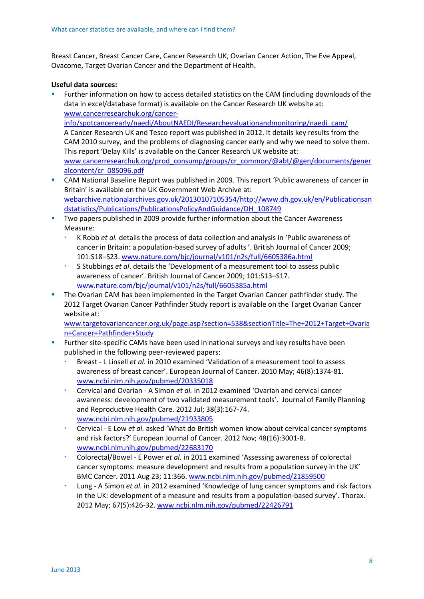Breast Cancer, Breast Cancer Care, Cancer Research UK, Ovarian Cancer Action, The Eve Appeal, Ovacome, Target Ovarian Cancer and the Department of Health.

### **Useful data sources:**

- Further information on how to access detailed statistics on the CAM (including downloads of the data in excel/database format) is available on the Cancer Research UK website at: [www.cancerresearchuk.org/cancer](http://www.cancerresearchuk.org/cancer-info/spotcancerearly/naedi/AboutNAEDI/Researchevaluationandmonitoring/naedi_cam/)[info/spotcancerearly/naedi/AboutNAEDI/Researchevaluationandmonitoring/naedi\\_cam/](http://www.cancerresearchuk.org/cancer-info/spotcancerearly/naedi/AboutNAEDI/Researchevaluationandmonitoring/naedi_cam/) A Cancer Research UK and Tesco report was published in 2012. It details key results from the CAM 2010 survey, and the problems of diagnosing cancer early and why we need to solve them. This report 'Delay Kills' is available on the Cancer Research UK website at: [www.cancerresearchuk.org/prod\\_consump/groups/cr\\_common/@abt/@gen/documents/gener](http://www.cancerresearchuk.org/prod_consump/groups/cr_common/@abt/@gen/documents/generalcontent/cr_085096.pdf) [alcontent/cr\\_085096.pdf](http://www.cancerresearchuk.org/prod_consump/groups/cr_common/@abt/@gen/documents/generalcontent/cr_085096.pdf)
- CAM National Baseline Report was published in 2009. This report 'Public awareness of cancer in Britain' is available on the UK Government Web Archive at: [webarchive.nationalarchives.gov.uk/20130107105354/http://www.dh.gov.uk/en/Publicationsan](http://webarchive.nationalarchives.gov.uk/20130107105354/http:/www.dh.gov.uk/en/Publicationsandstatistics/Publications/PublicationsPolicyAndGuidance/DH_108749) [dstatistics/Publications/PublicationsPolicyAndGuidance/DH\\_108749](http://webarchive.nationalarchives.gov.uk/20130107105354/http:/www.dh.gov.uk/en/Publicationsandstatistics/Publications/PublicationsPolicyAndGuidance/DH_108749)
- Two papers published in 2009 provide further information about the Cancer Awareness Measure:
	- K Robb *et al.* details the process of data collection and analysis in 'Public awareness of cancer in Britain: a population-based survey of adults '. British Journal of Cancer 2009; 101:S18–S23. [www.nature.com/bjc/journal/v101/n2s/full/6605386a.html](http://www.nature.com/bjc/journal/v101/n2s/full/6605386a.html)
	- S Stubbings *et al*. details the 'Development of a measurement tool to assess public awareness of cancer'. British Journal of Cancer 2009; 101:S13–S17. [www.nature.com/bjc/journal/v101/n2s/full/6605385a.html](http://www.nature.com/bjc/journal/v101/n2s/full/6605385a.html)
- The Ovarian CAM has been implemented in the Target Ovarian Cancer pathfinder study. The 2012 Target Ovarian Cancer Pathfinder Study report is available on the Target Ovarian Cancer website at:

[www.targetovariancancer.org.uk/page.asp?section=538&sectionTitle=The+2012+Target+Ovaria](http://www.targetovariancancer.org.uk/page.asp?section=538§ionTitle=The+2012+Target+Ovarian+Cancer+Pathfinder+Study) [n+Cancer+Pathfinder+Study](http://www.targetovariancancer.org.uk/page.asp?section=538§ionTitle=The+2012+Target+Ovarian+Cancer+Pathfinder+Study)

- Further site-specific CAMs have been used in national surveys and key results have been published in the following peer-reviewed papers:
	- Breast L Linsell *et al*. in 2010 examined 'Validation of a measurement tool to assess awareness of breast cancer'. European Journal of Cancer. 2010 May; 46(8):1374-81. [www.ncbi.nlm.nih.gov/pubmed/20335018](http://www.ncbi.nlm.nih.gov/pubmed/20335018)
	- Cervical and Ovarian A Simon *et al.* in 2012 examined 'Ovarian and cervical cancer awareness: development of two validated measurement tools'. Journal of Family Planning and Reproductive Health Care. 2012 Jul; 38(3):167-74. [www.ncbi.nlm.nih.gov/pubmed/21933805](http://www.ncbi.nlm.nih.gov/pubmed/21933805)
	- Cervical E Low *et al.* asked 'What do British women know about cervical cancer symptoms and risk factors?' European Journal of Cancer. 2012 Nov; 48(16):3001-8. [www.ncbi.nlm.nih.gov/pubmed/22683170](http://www.ncbi.nlm.nih.gov/pubmed/22683170)
	- Colorectal/Bowel E Power *et al*. in 2011 examined 'Assessing awareness of colorectal cancer symptoms: measure development and results from a population survey in the UK' BMC Cancer. 2011 Aug 23; 11:366. [www.ncbi.nlm.nih.gov/pubmed/21859500](http://www.ncbi.nlm.nih.gov/pubmed/21859500)
	- Lung A Simon *et al.* in 2012 examined 'Knowledge of lung cancer symptoms and risk factors in the UK: development of a measure and results from a population-based survey'. Thorax. 2012 May; 67(5):426-32[. www.ncbi.nlm.nih.gov/pubmed/22426791](http://www.ncbi.nlm.nih.gov/pubmed/22426791)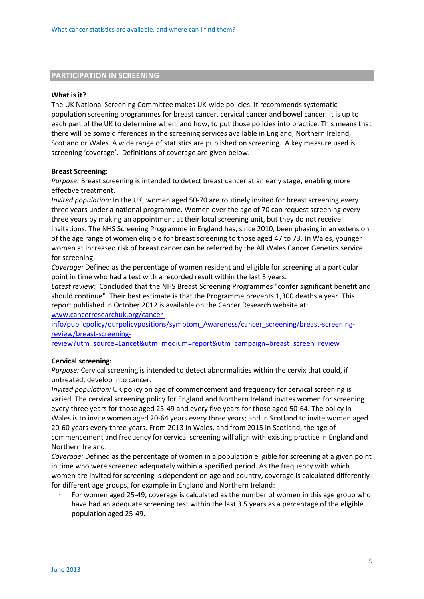### **PARTICIPATION IN SCREENING**

#### **What is it?**

The UK National Screening Committee makes UK-wide policies. It recommends systematic population screening programmes for breast cancer, cervical cancer and bowel cancer. It is up to each part of the UK to determine when, and how, to put those policies into practice. This means that there will be some differences in the screening services available in England, Northern Ireland, Scotland or Wales. A wide range of statistics are published on screening. A key measure used is screening 'coverage'. Definitions of coverage are given below.

### **Breast Screening:**

*Purpose:* Breast screening is intended to detect breast cancer at an early stage, enabling more effective treatment.

*Invited population:* In the UK, women aged 50-70 are routinely invited for breast screening every three years under a national programme. Women over the age of 70 can request screening every three years by making an appointment at their local screening unit, but they do not receive invitations. The NHS Screening Programme in England has, since 2010, been phasing in an extension of the age range of women eligible for breast screening to those aged 47 to 73. In Wales, younger women at increased risk of breast cancer can be referred by the All Wales Cancer Genetics service for screening.

*Coverage:* Defined as the percentage of women resident and eligible for screening at a particular point in time who had a test with a recorded result within the last 3 years.

*Latest review:* Concluded that the NHS Breast Screening Programmes "confer significant benefit and should continue". Their best estimate is that the Programme prevents 1,300 deaths a year. This report published in October 2012 is available on the Cancer Research website at: [www.cancerresearchuk.org/cancer-](http://www.cancerresearchuk.org/cancer-info/publicpolicy/ourpolicypositions/symptom_Awareness/cancer_screening/breast-screening-review/breast-screening-review?utm_source=Lancet&utm_medium=report&utm_campaign=breast_screen_review)

[info/publicpolicy/ourpolicypositions/symptom\\_Awareness/cancer\\_screening/breast-screening](http://www.cancerresearchuk.org/cancer-info/publicpolicy/ourpolicypositions/symptom_Awareness/cancer_screening/breast-screening-review/breast-screening-review?utm_source=Lancet&utm_medium=report&utm_campaign=breast_screen_review)[review/breast-screening-](http://www.cancerresearchuk.org/cancer-info/publicpolicy/ourpolicypositions/symptom_Awareness/cancer_screening/breast-screening-review/breast-screening-review?utm_source=Lancet&utm_medium=report&utm_campaign=breast_screen_review)

[review?utm\\_source=Lancet&utm\\_medium=report&utm\\_campaign=breast\\_screen\\_review](http://www.cancerresearchuk.org/cancer-info/publicpolicy/ourpolicypositions/symptom_Awareness/cancer_screening/breast-screening-review/breast-screening-review?utm_source=Lancet&utm_medium=report&utm_campaign=breast_screen_review)

### **Cervical screening:**

*Purpose:* Cervical screening is intended to detect abnormalities within the cervix that could, if untreated, develop into cancer.

*Invited population:* UK policy on age of commencement and frequency for cervical screening is varied. The cervical screening policy for England and Northern Ireland invites women for screening every three years for those aged 25-49 and every five years for those aged 50-64. The policy in Wales is to invite women aged 20-64 years every three years; and in Scotland to invite women aged 20-60 years every three years. From 2013 in Wales, and from 2015 in Scotland, the age of commencement and frequency for cervical screening will align with existing practice in England and Northern Ireland.

*Coverage:* Defined as the percentage of women in a population eligible for screening at a given point in time who were screened adequately within a specified period. As the frequency with which women are invited for screening is dependent on age and country, coverage is calculated differently for different age groups, for example in England and Northern Ireland:

 For women aged 25-49, coverage is calculated as the number of women in this age group who have had an adequate screening test within the last 3.5 years as a percentage of the eligible population aged 25-49.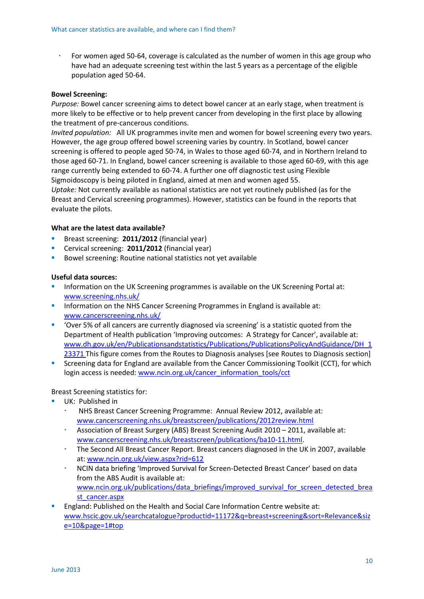For women aged 50-64, coverage is calculated as the number of women in this age group who have had an adequate screening test within the last 5 years as a percentage of the eligible population aged 50-64.

### **Bowel Screening:**

*Purpose:* Bowel cancer screening aims to detect bowel cancer at an early stage, when treatment is more likely to be effective or to help prevent cancer from developing in the first place by allowing the treatment of pre-cancerous conditions.

*Invited population:* All UK programmes invite men and women for bowel screening every two years. However, the age group offered bowel screening varies by country. In Scotland, bowel cancer screening is offered to people aged 50-74, in Wales to those aged 60-74, and in Northern Ireland to those aged 60-71. In England, bowel cancer screening is available to those aged 60-69, with this age range currently being extended to 60-74. A further one off diagnostic test using Flexible Sigmoidoscopy is being piloted in England, aimed at men and women aged 55.

*Uptake:* Not currently available as national statistics are not yet routinely published (as for the Breast and Cervical screening programmes). However, statistics can be found in the reports that evaluate the pilots.

### **What are the latest data available?**

- Breast screening: **2011/2012** (financial year)
- Cervical screening: **2011/2012** (financial year)
- **Bowel screening: Routine national statistics not yet available**

### **Useful data sources:**

- Information on the UK Screening programmes is available on the UK Screening Portal at: [www.screening.nhs.uk/](http://www.screening.nhs.uk/)
- **Information on the NHS Cancer Screening Programmes in England is available at:** [www.cancerscreening.nhs.uk/](http://www.cancerscreening.nhs.uk/)
- 'Over 5% of all cancers are currently diagnosed via screening' is a statistic quoted from the Department of Health publication 'Improving outcomes: A Strategy for Cancer', available at: [www.dh.gov.uk/en/Publicationsandstatistics/Publications/PublicationsPolicyAndGuidance/DH\\_1](http://www.dh.gov.uk/en/Publicationsandstatistics/Publications/PublicationsPolicyAndGuidance/DH_123371) [23371](http://www.dh.gov.uk/en/Publicationsandstatistics/Publications/PublicationsPolicyAndGuidance/DH_123371) This figure comes from the Routes to Diagnosis analyses [see Routes to Diagnosis section]
- Screening data for England are available from the Cancer Commissioning Toolkit (CCT), for which login access is needed: [www.ncin.org.uk/cancer\\_information\\_tools/cct](http://www.ncin.org.uk/cancer_information_tools/cct)

### Breast Screening statistics for:

- UK: Published in
	- NHS Breast Cancer Screening Programme: Annual Review 2012, available at: [www.cancerscreening.nhs.uk/breastscreen/publications/2012review.html](http://www.cancerscreening.nhs.uk/breastscreen/publications/2012review.html)
	- Association of Breast Surgery (ABS) Breast Screening Audit 2010 2011, available at: [www.cancerscreening.nhs.uk/breastscreen/publications/ba10-11.html.](http://www.cancerscreening.nhs.uk/breastscreen/publications/ba10-11.html)
	- The Second All Breast Cancer Report. Breast cancers diagnosed in the UK in 2007, available at: [www.ncin.org.uk/view.aspx?rid=612](http://www.ncin.org.uk/view.aspx?rid=612)
	- NCIN data briefing 'Improved Survival for Screen-Detected Breast Cancer' based on data from the ABS Audit is available at: [www.ncin.org.uk/publications/data\\_briefings/improved\\_survival\\_for\\_screen\\_detected\\_brea](http://www.ncin.org.uk/publications/data_briefings/improved_survival_for_screen_detected_breast_cancer.aspx) [st\\_cancer.aspx](http://www.ncin.org.uk/publications/data_briefings/improved_survival_for_screen_detected_breast_cancer.aspx)
- England: Published on the Health and Social Care Information Centre website at: [www.hscic.gov.uk/searchcatalogue?productid=11172&q=breast+screening&sort=Relevance&siz](http://www.hscic.gov.uk/searchcatalogue?productid=11172&q=breast+screening&sort=Relevance&size=10&page=1#top) [e=10&page=1#top](http://www.hscic.gov.uk/searchcatalogue?productid=11172&q=breast+screening&sort=Relevance&size=10&page=1#top)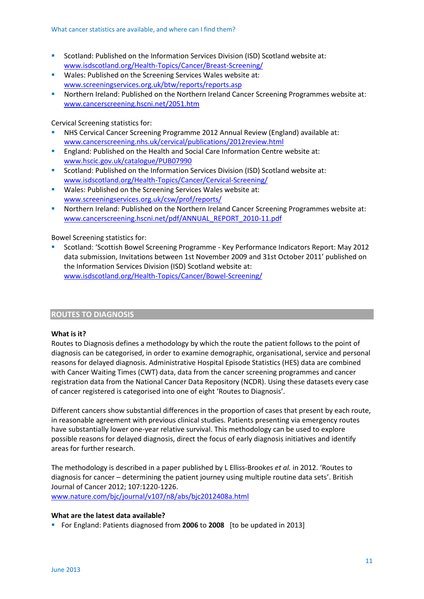- Scotland: Published on the Information Services Division (ISD) Scotland website at: [www.isdscotland.org/Health-Topics/Cancer/Breast-Screening/](http://www.isdscotland.org/Health-Topics/Cancer/Breast-Screening/)
- **Wales: Published on the Screening Services Wales website at:** [www.screeningservices.org.uk/btw/reports/reports.asp](http://www.screeningservices.org.uk/btw/reports/reports.asp)
- Northern Ireland: Published on the Northern Ireland Cancer Screening Programmes website at: [www.cancerscreening.hscni.net/2051.htm](http://www.cancerscreening.hscni.net/2051.htm)

Cervical Screening statistics for:

- NHS Cervical Cancer Screening Programme 2012 Annual Review (England) available at: [www.cancerscreening.nhs.uk/cervical/publications/2012review.html](http://www.cancerscreening.nhs.uk/cervical/publications/2012review.html)
- England: Published on the Health and Social Care Information Centre website at: [www.hscic.gov.uk/catalogue/PUB07990](http://www.hscic.gov.uk/catalogue/PUB07990)
- Scotland: Published on the Information Services Division (ISD) Scotland website at: [www.isdscotland.org/Health-Topics/Cancer/Cervical-Screening/](http://www.isdscotland.org/Health-Topics/Cancer/Cervical-Screening/)
- **Wales: Published on the Screening Services Wales website at:** [www.screeningservices.org.uk/csw/prof/reports/](http://www.screeningservices.org.uk/csw/prof/reports/)
- Northern Ireland: Published on the Northern Ireland Cancer Screening Programmes website at: [www.cancerscreening.hscni.net/pdf/ANNUAL\\_REPORT\\_2010-11.pdf](http://www.cancerscreening.hscni.net/pdf/ANNUAL_REPORT_2010-11.pdf)

Bowel Screening statistics for:

 Scotland: 'Scottish Bowel Screening Programme - Key Performance Indicators Report: May 2012 data submission, Invitations between 1st November 2009 and 31st October 2011' published on the Information Services Division (ISD) Scotland website at: [www.isdscotland.org/Health-Topics/Cancer/Bowel-Screening/](http://www.isdscotland.org/Health-Topics/Cancer/Bowel-Screening/)

### **ROUTES TO DIAGNOSIS**

### **What is it?**

Routes to Diagnosis defines a methodology by which the route the patient follows to the point of diagnosis can be categorised, in order to examine demographic, organisational, service and personal reasons for delayed diagnosis. Administrative Hospital Episode Statistics (HES) data are combined with Cancer Waiting Times (CWT) data, data from the cancer screening programmes and cancer registration data from the National Cancer Data Repository (NCDR). Using these datasets every case of cancer registered is categorised into one of eight 'Routes to Diagnosis'.

Different cancers show substantial differences in the proportion of cases that present by each route, in reasonable agreement with previous clinical studies. Patients presenting via emergency routes have substantially lower one-year relative survival. This methodology can be used to explore possible reasons for delayed diagnosis, direct the focus of early diagnosis initiatives and identify areas for further research.

The methodology is described in a paper published by L Elliss-Brookes *et al.* in 2012. 'Routes to diagnosis for cancer – determining the patient journey using multiple routine data sets'. British Journal of Cancer 2012; 107:1220-1226. [www.nature.com/bjc/journal/v107/n8/abs/bjc2012408a.html](http://www.nature.com/bjc/journal/v107/n8/abs/bjc2012408a.html)

### **What are the latest data available?**

For England: Patients diagnosed from **2006** to **2008** [to be updated in 2013]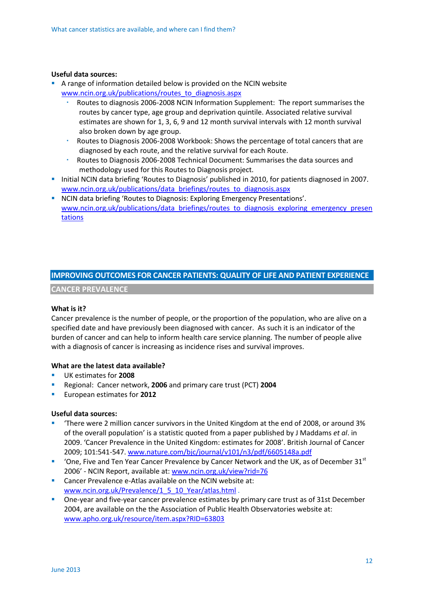### **Useful data sources:**

- A range of information detailed below is provided on the NCIN website [www.ncin.org.uk/publications/routes\\_to\\_diagnosis.aspx](http://www.ncin.org.uk/publications/routes_to_diagnosis.aspx)
	- Routes to diagnosis 2006-2008 NCIN Information Supplement: The report summarises the routes by cancer type, age group and deprivation quintile. Associated relative survival estimates are shown for 1, 3, 6, 9 and 12 month survival intervals with 12 month survival also broken down by age group.
	- Routes to Diagnosis 2006-2008 Workbook: Shows the percentage of total cancers that are diagnosed by each route, and the relative survival for each Route.
	- Routes to Diagnosis 2006-2008 Technical Document: Summarises the data sources and methodology used for this Routes to Diagnosis project.
- Initial NCIN data briefing 'Routes to Diagnosis' published in 2010, for patients diagnosed in 2007. [www.ncin.org.uk/publications/data\\_briefings/routes\\_to\\_diagnosis.aspx](http://www.ncin.org.uk/publications/data_briefings/routes_to_diagnosis.aspx)
- NCIN data briefing 'Routes to Diagnosis: Exploring Emergency Presentations'. [www.ncin.org.uk/publications/data\\_briefings/routes\\_to\\_diagnosis\\_exploring\\_emergency\\_presen](http://www.ncin.org.uk/publications/data_briefings/routes_to_diagnosis_exploring_emergency_presentations) [tations](http://www.ncin.org.uk/publications/data_briefings/routes_to_diagnosis_exploring_emergency_presentations)

### **IMPROVING OUTCOMES FOR CANCER PATIENTS: QUALITY OF LIFE AND PATIENT EXPERIENCE**

**CANCER PREVALENCE**

### **What is it?**

Cancer prevalence is the number of people, or the proportion of the population, who are alive on a specified date and have previously been diagnosed with cancer. As such it is an indicator of the burden of cancer and can help to inform health care service planning. The number of people alive with a diagnosis of cancer is increasing as incidence rises and survival improves.

### **What are the latest data available?**

- UK estimates for **2008**
- Regional: Cancer network, **2006** and primary care trust (PCT) **2004**
- European estimates for **2012**

### **Useful data sources:**

- 'There were 2 million cancer survivors in the United Kingdom at the end of 2008, or around 3% of the overall population' is a statistic quoted from a paper published by J Maddams *et al*. in 2009. 'Cancer Prevalence in the United Kingdom: estimates for 2008'. British Journal of Cancer 2009; 101:541-547. [www.nature.com/bjc/journal/v101/n3/pdf/6605148a.pdf](http://www.nature.com/bjc/journal/v101/n3/pdf/6605148a.pdf)
- $\blacksquare$  'One, Five and Ten Year Cancer Prevalence by Cancer Network and the UK, as of December 31st 2006' - NCIN Report, available at: [www.ncin.org.uk/view?rid=76](http://www.ncin.org.uk/view?rid=76)
- Cancer Prevalence e-Atlas available on the NCIN website at: [www.ncin.org.uk/Prevalence/1\\_5\\_10\\_Year/atlas.html](http://www.ncin.org.uk/Prevalence/1_5_10_Year/atlas.html) .
- One-year and five-year cancer prevalence estimates by primary care trust as of 31st December 2004, are available on the [the Association of Public Health Observatories website](http://www.apho.org.uk/resource/item.aspx?RID=63803) at: [www.apho.org.uk/resource/item.aspx?RID=63803](http://www.apho.org.uk/resource/item.aspx?RID=63803)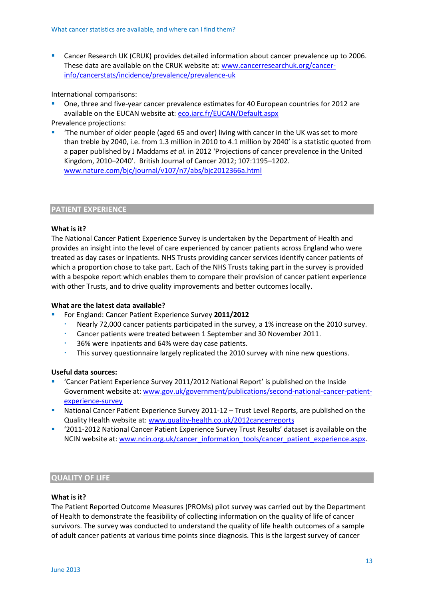Cancer Research UK (CRUK) provides detailed information about cancer prevalence up to 2006. These data are available on the CRUK website at: [www.cancerresearchuk.org/cancer](http://www.cancerresearchuk.org/cancer-info/cancerstats/incidence/prevalence/prevalence-uk)[info/cancerstats/incidence/prevalence/prevalence-uk](http://www.cancerresearchuk.org/cancer-info/cancerstats/incidence/prevalence/prevalence-uk)

International comparisons:

 One, three and five-year cancer prevalence estimates for 40 European countries for 2012 are available on the EUCAN website at: [eco.iarc.fr/EUCAN/Default.aspx](http://eco.iarc.fr/EUCAN/Default.aspx)

Prevalence projections:

 'The number of older people (aged 65 and over) living with cancer in the UK was set to more than treble by 2040, i.e. from 1.3 million in 2010 to 4.1 million by 2040' is a statistic quoted from a paper published by J Maddams *et al.* in 2012 'Projections of cancer prevalence in the United Kingdom, 2010–2040'. British Journal of Cancer 2012; 107:1195–1202. [www.nature.com/bjc/journal/v107/n7/abs/bjc2012366a.html](http://www.nature.com/bjc/journal/v107/n7/abs/bjc2012366a.html)

### **PATIENT EXPERIENCE**

### **What is it?**

The National Cancer Patient Experience Survey is undertaken by the Department of Health and provides an insight into the level of care experienced by cancer patients across England who were treated as day cases or inpatients. NHS Trusts providing cancer services identify cancer patients of which a proportion chose to take part. Each of the NHS Trusts taking part in the survey is provided with a bespoke report which enables them to compare their provision of cancer patient experience with other Trusts, and to drive quality improvements and better outcomes locally.

### **What are the latest data available?**

- For England: Cancer Patient Experience Survey **2011/2012**
	- Nearly 72,000 cancer patients participated in the survey, a 1% increase on the 2010 survey.
	- Cancer patients were treated between 1 September and 30 November 2011.
	- 36% were inpatients and 64% were day case patients.
	- This survey questionnaire largely replicated the 2010 survey with nine new questions.

### **Useful data sources:**

- 'Cancer Patient Experience Survey 2011/2012 National Report' is published on the Inside Government website at: [www.gov.uk/government/publications/second-national-cancer-patient](http://www.gov.uk/government/publications/second-national-cancer-patient-experience-survey)[experience-survey](http://www.gov.uk/government/publications/second-national-cancer-patient-experience-survey)
- National Cancer Patient Experience Survey 2011-12 Trust Level Reports, are published on the Quality Health website at: [www.quality-health.co.uk/2012cancerreports](http://www.quality-health.co.uk/2012cancerreports)
- '2011-2012 National Cancer Patient Experience Survey Trust Results' dataset is available on the NCIN website at: [www.ncin.org.uk/cancer\\_information\\_tools/cancer\\_patient\\_experience.aspx.](http://www.ncin.org.uk/cancer_information_tools/cancer_patient_experience.aspx)

### **QUALITY OF LIFE**

### **What is it?**

The Patient Reported Outcome Measures (PROMs) pilot survey was carried out by the Department of Health to demonstrate the feasibility of collecting information on the quality of life of cancer survivors. The survey was conducted to understand the quality of life health outcomes of a sample of adult cancer patients at various time points since diagnosis. This is the largest survey of cancer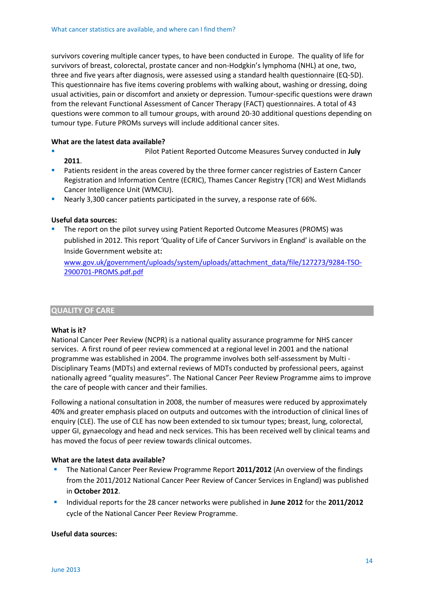survivors covering multiple cancer types, to have been conducted in Europe. The quality of life for survivors of breast, colorectal, prostate cancer and non-Hodgkin's lymphoma (NHL) at one, two, three and five years after diagnosis, were assessed using a standard health questionnaire (EQ-5D). This questionnaire has five items covering problems with walking about, washing or dressing, doing usual activities, pain or discomfort and anxiety or depression. Tumour-specific questions were drawn from the relevant Functional Assessment of Cancer Therapy (FACT) questionnaires. A total of 43 questions were common to all tumour groups, with around 20-30 additional questions depending on tumour type. Future PROMs surveys will include additional cancer sites.

### **What are the latest data available?**

- Pilot Patient Reported Outcome Measures Survey conducted in **July 2011**.
- Patients resident in the areas covered by the three former cancer registries of Eastern Cancer Registration and Information Centre (ECRIC), Thames Cancer Registry (TCR) and West Midlands Cancer Intelligence Unit (WMCIU).
- Nearly 3,300 cancer patients participated in the survey, a response rate of 66%.

### **Useful data sources:**

 The report on the pilot survey using Patient Reported Outcome Measures (PROMS) was published in 2012. This report 'Quality of Life of Cancer Survivors in England' is available on the Inside Government website at**:** 

[www.gov.uk/government/uploads/system/uploads/attachment\\_data/file/127273/9284-TSO-](http://www.gov.uk/government/uploads/system/uploads/attachment_data/file/127273/9284-TSO-2900701-PROMS.pdf.pdf)[2900701-PROMS.pdf.pdf](http://www.gov.uk/government/uploads/system/uploads/attachment_data/file/127273/9284-TSO-2900701-PROMS.pdf.pdf)

### **QUALITY OF CARE**

### **What is it?**

National Cancer Peer Review (NCPR) is a national quality assurance programme for NHS cancer services. A first round of peer review commenced at a regional level in 2001 and the national programme was established in 2004. The programme involves both self-assessment by Multi - Disciplinary Teams (MDTs) and external reviews of MDTs conducted by professional peers, against nationally agreed "quality measures". The National Cancer Peer Review Programme aims to improve the care of people with cancer and their families.

Following a national consultation in 2008, the number of measures were reduced by approximately 40% and greater emphasis placed on outputs and outcomes with the introduction of clinical lines of enquiry (CLE). The use of CLE has now been extended to six tumour types; breast, lung, colorectal, upper GI, gynaecology and head and neck services. This has been received well by clinical teams and has moved the focus of peer review towards clinical outcomes.

### **What are the latest data available?**

- The National Cancer Peer Review Programme Report **2011/2012** (An overview of the findings from the 2011/2012 National Cancer Peer Review of Cancer Services in England) was published in **October 2012**.
- Individual reports for the 28 cancer networks were published in **June 2012** for the **2011/2012** cycle of the National Cancer Peer Review Programme.

### **Useful data sources:**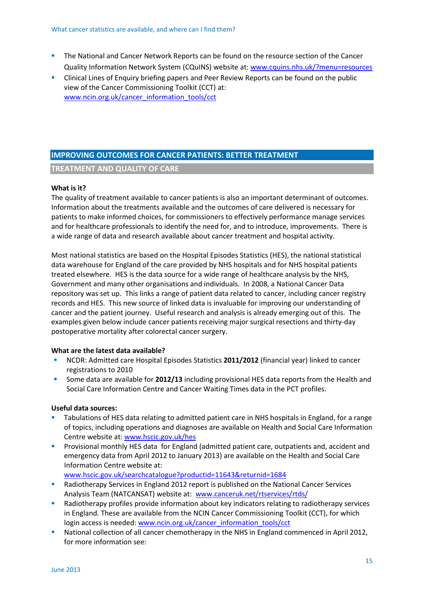- **The National and Cancer Network Reports can be found on the resource section of the Cancer** Quality Information Network System (CQuINS) website at[: www.cquins.nhs.uk/?menu=resources](http://www.cquins.nhs.uk/?menu=resources)
- Clinical Lines of Enquiry briefing papers and Peer Review Reports can be found on the public view of the Cancer Commissioning Toolkit (CCT) at: [www.ncin.org.uk/cancer\\_information\\_tools/cct](http://www.ncin.org.uk/cancer_information_tools/cct)

### **IMPROVING OUTCOMES FOR CANCER PATIENTS: BETTER TREATMENT**

**TREATMENT AND QUALITY OF CARE** 

### **What is it?**

The quality of treatment available to cancer patients is also an important determinant of outcomes. Information about the treatments available and the outcomes of care delivered is necessary for patients to make informed choices, for commissioners to effectively performance manage services and for healthcare professionals to identify the need for, and to introduce, improvements. There is a wide range of data and research available about cancer treatment and hospital activity.

Most national statistics are based on the Hospital Episodes Statistics (HES), the national statistical data warehouse for England of the care provided by NHS hospitals and for NHS hospital patients treated elsewhere. HES is the data source for a wide range of healthcare analysis by the NHS, Government and many other organisations and individuals. In 2008, a National Cancer Data repository was set up. This links a range of patient data related to cancer, including cancer registry records and HES. This new source of linked data is invaluable for improving our understanding of cancer and the patient journey. Useful research and analysis is already emerging out of this. The examples given below include [cancer patients receiving major surgical resections](http://www.ncin.org.uk/view.aspx?rid=540) and thirty-day postoperative mortality after colorectal cancer surgery.

### **What are the latest data available?**

- NCDR: Admitted care Hospital Episodes Statistics **2011/2012** (financial year) linked to cancer registrations to 2010
- Some data are available for **2012/13** including provisional HES data reports from the Health and Social Care Information Centre and Cancer Waiting Times data in the PCT profiles.

### **Useful data sources:**

- Tabulations of HES data relating to admitted patient care in NHS hospitals in England, for a range of topics, including operations and diagnoses are available on Health and Social Care Information Centre website at: [www.hscic.gov.uk/hes](http://www.hscic.gov.uk/hes)
- Provisional monthly HES data for England (admitted patient care, outpatients and, accident and emergency data from April 2012 to January 2013) are available on the Health and Social Care Information Centre website at:

[www.hscic.gov.uk/searchcatalogue?productid=11643&returnid=1684](http://www.hscic.gov.uk/searchcatalogue?productid=11643&returnid=1684)

- Radiotherapy Services in England 2012 report is published on the National Cancer Services Analysis Team (NATCANSAT) website at: [www.canceruk.net/rtservices/rtds/](http://www.canceruk.net/rtservices/rtds/)
- Radiotherapy profiles provide information about key indicators relating to radiotherapy services in England. These are available from the NCIN Cancer Commissioning Toolkit (CCT), for which login access is needed: [www.ncin.org.uk/cancer\\_information\\_tools/cct](http://www.ncin.org.uk/cancer_information_tools/cct)
- National collection of all cancer chemotherapy in the NHS in England commenced in April 2012, for more information see: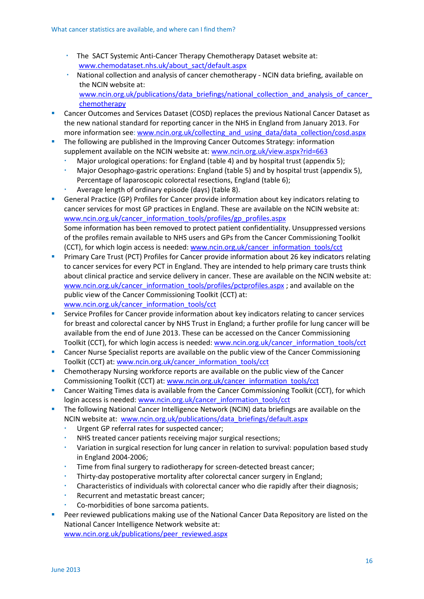- The SACT Systemic Anti-Cancer Therapy Chemotherapy Dataset website at: [www.chemodataset.nhs.uk/about\\_sact/default.aspx](http://www.chemodataset.nhs.uk/about_sact/default.aspx)
- National collection and analysis of cancer chemotherapy NCIN data briefing, available on the NCIN website at: www.ncin.org.uk/publications/data\_briefings/national\_collection\_and\_analysis\_of\_cancer [chemotherapy](http://www.ncin.org.uk/publications/data_briefings/national_collection_and_analysis_of_cancer_chemotherapy)
- Cancer Outcomes and Services Dataset (COSD) replaces the previous National Cancer Dataset as the new national standard for reporting cancer in the NHS in England from January 2013. For more information see[: www.ncin.org.uk/collecting\\_and\\_using\\_data/data\\_collection/cosd.aspx](http://www.ncin.org.uk/collecting_and_using_data/data_collection/cosd.aspx)
- The following are published in the Improving Cancer Outcomes Strategy: information supplement available on the NCIN website at[: www.ncin.org.uk/view.aspx?rid=663](http://www.ncin.org.uk/view.aspx?rid=663)
	- Major urological operations: for England (table 4) and by hospital trust (appendix 5);
	- Major Oesophago-gastric operations: England (table 5) and by hospital trust (appendix 5), Percentage of laparoscopic colorectal resections, England (table 6);
	- Average length of ordinary episode (days) (table 8).
- General Practice (GP) Profiles for Cancer provide information about key indicators relating to cancer services for most GP practices in England. These are available on the NCIN website at: [www.ncin.org.uk/cancer\\_information\\_tools/profiles/gp\\_profiles.aspx](http://www.ncin.org.uk/cancer_information_tools/profiles/gp_profiles.aspx) Some information has been removed to protect patient confidentiality. Unsuppressed versions of the profiles remain available to NHS users and GPs from the Cancer Commissioning Toolkit (CCT), for which login access is needed: [www.ncin.org.uk/cancer\\_information\\_tools/cct](http://www.ncin.org.uk/cancer_information_tools/cct)
- Primary Care Trust (PCT) Profiles for Cancer provide information about 26 key indicators relating to cancer services for every PCT in England. They are intended to help primary care trusts think about clinical practice and service delivery in cancer. These are available on the NCIN website at: [www.ncin.org.uk/cancer\\_information\\_tools/profiles/pctprofiles.aspx](http://www.ncin.org.uk/cancer_information_tools/profiles/pctprofiles.aspx) ; and available on the public view of the Cancer Commissioning Toolkit (CCT) at: [www.ncin.org.uk/cancer\\_information\\_tools/cct](http://www.ncin.org.uk/cancer_information_tools/cct)
- Service Profiles for Cancer provide information about key indicators relating to cancer services for breast and colorectal cancer by NHS Trust in England; a further profile for lung cancer will be available from the end of June 2013. These can be accessed on the Cancer Commissioning Toolkit (CCT), for which login access is needed: [www.ncin.org.uk/cancer\\_information\\_tools/cct](http://www.ncin.org.uk/cancer_information_tools/cct)
- **Cancer Nurse Specialist reports are available on the public view of the Cancer Commissioning** Toolkit (CCT) at: [www.ncin.org.uk/cancer\\_information\\_tools/cct](http://www.ncin.org.uk/cancer_information_tools/cct)
- Chemotherapy Nursing workforce reports are available on the public view of the Cancer Commissioning Toolkit (CCT) at: [www.ncin.org.uk/cancer\\_information\\_tools/cct](http://www.ncin.org.uk/cancer_information_tools/cct)
- **EXECT** Cancer Waiting Times data is available from the Cancer Commissioning Toolkit (CCT), for which login access is needed: [www.ncin.org.uk/cancer\\_information\\_tools/cct](http://www.ncin.org.uk/cancer_information_tools/cct)
- The following National Cancer Intelligence Network (NCIN) data briefings are available on the NCIN website at: [www.ncin.org.uk/publications/data\\_briefings/default.aspx](http://www.ncin.org.uk/publications/data_briefings/default.aspx)
	- Urgent GP referral rates for suspected cancer;
	- [NHS treated cancer patients receiving major surgical resections;](http://www.ncin.org.uk/view.aspx?rid=540)
	- Variation in surgical resection for lung cancer in relation to survival: population based study in England 2004-2006;
	- Time from final surgery to radiotherapy for screen-detected breast cancer;
	- Thirty-day postoperative mortality after colorectal cancer surgery in England;
	- Characteristics of individuals with colorectal cancer who die rapidly after their diagnosis;
	- Recurrent and metastatic breast cancer;
	- Co-morbidities of bone sarcoma patients.
- Peer reviewed publications making use of the National Cancer Data Repository are listed on the National Cancer Intelligence Network website at:

[www.ncin.org.uk/publications/peer\\_reviewed.aspx](http://www.ncin.org.uk/publications/peer_reviewed.aspx)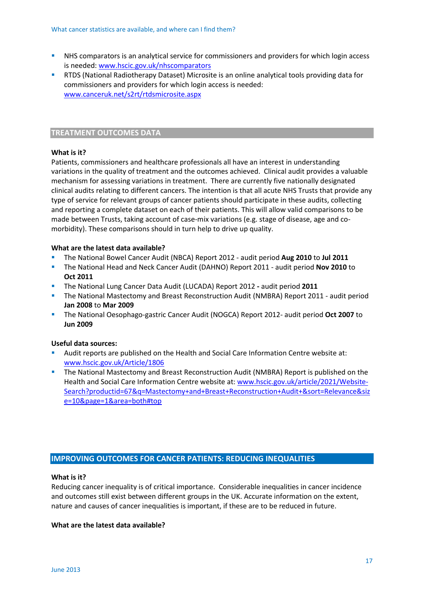- NHS comparators is an analytical service for commissioners and providers for which login access is needed[: www.hscic.gov.uk/nhscomparators](http://www.hscic.gov.uk/nhscomparators)
- RTDS (National Radiotherapy Dataset) Microsite is an online analytical tools providing data for commissioners and providers for which login access is needed: [www.canceruk.net/s2rt/rtdsmicrosite.aspx](http://www.canceruk.net/s2rt/rtdsmicrosite.aspx)

### **TREATMENT OUTCOMES DATA**

### **What is it?**

Patients, commissioners and healthcare professionals all have an interest in understanding variations in the quality of treatment and the outcomes achieved. Clinical audit provides a valuable mechanism for assessing variations in treatment. There are currently five nationally designated clinical audits relating to different cancers. The intention is that all acute NHS Trusts that provide any type of service for relevant groups of cancer patients should participate in these audits, collecting and reporting a complete dataset on each of their patients. This will allow valid comparisons to be made between Trusts, taking account of case-mix variations (e.g. stage of disease, age and comorbidity). These comparisons should in turn help to drive up quality.

### **What are the latest data available?**

- The National Bowel Cancer Audit (NBCA) Report 2012 audit period **Aug 2010** to **Jul 2011**
- The National Head and Neck Cancer Audit (DAHNO) Report 2011 audit period **Nov 2010** to **Oct 2011**
- The National Lung Cancer Data Audit (LUCADA) Report 2012 **-** audit period **2011**
- The National Mastectomy and Breast Reconstruction Audit (NMBRA) Report 2011 audit period **Jan 2008** to **Mar 2009**
- The National Oesophago-gastric Cancer Audit (NOGCA) Report 2012- audit period **Oct 2007** to **Jun 2009**

### **Useful data sources:**

- Audit reports are published on the Health and Social Care Information Centre website at: [www.hscic.gov.uk/Article/1806](http://www.hscic.gov.uk/Article/1806)
- **The National Mastectomy and Breast Reconstruction Audit (NMBRA) Report is published on the** Health and Social Care Information Centre website at: [www.hscic.gov.uk/article/2021/Website-](http://www.hscic.gov.uk/article/2021/Website-Search?productid=67&q=Mastectomy+and+Breast+Reconstruction+Audit+&sort=Relevance&size=10&page=1&area=both#top)[Search?productid=67&q=Mastectomy+and+Breast+Reconstruction+Audit+&sort=Relevance&siz](http://www.hscic.gov.uk/article/2021/Website-Search?productid=67&q=Mastectomy+and+Breast+Reconstruction+Audit+&sort=Relevance&size=10&page=1&area=both#top) [e=10&page=1&area=both#top](http://www.hscic.gov.uk/article/2021/Website-Search?productid=67&q=Mastectomy+and+Breast+Reconstruction+Audit+&sort=Relevance&size=10&page=1&area=both#top)

### **IMPROVING OUTCOMES FOR CANCER PATIENTS: REDUCING INEQUALITIES**

### **What is it?**

Reducing cancer inequality is of critical importance. Considerable inequalities in cancer incidence and outcomes still exist between different groups in the UK. Accurate information on the extent, nature and causes of cancer inequalities is important, if these are to be reduced in future.

### **What are the latest data available?**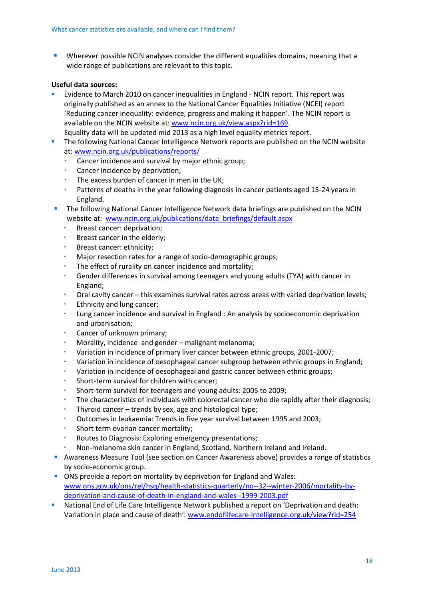Wherever possible NCIN analyses consider the different equalities domains, meaning that a wide range of publications are relevant to this topic.

### **Useful data sources:**

- Evidence to March 2010 on cancer inequalities in England NCIN report. This report was originally published as an annex to the National Cancer Equalities Initiative (NCEI) report 'Reducing cancer inequality: evidence, progress and making it happen'. The NCIN report is available on the NCIN website at: [www.ncin.org.uk/view.aspx?rid=169.](http://www.ncin.org.uk/view.aspx?rid=169) Equality data will be updated mid 2013 as a high level equality metrics report.
- The following National Cancer Intelligence Network reports are published on the NCIN website at: [www.ncin.org.uk/publications/reports/](http://www.ncin.org.uk/publications/reports/)
	- Cancer incidence and survival by major ethnic group;
	- Cancer incidence by deprivation;
	- The excess burden of cancer in men in the UK;
	- Patterns of deaths in the year following diagnosis in cancer patients aged 15-24 years in England.
- The following National Cancer Intelligence Network data briefings are published on the NCIN website at: [www.ncin.org.uk/publications/data\\_briefings/default.aspx](http://www.ncin.org.uk/publications/data_briefings/default.aspx)
	- Breast cancer: deprivation;
	- **Breast cancer in the elderly;**
	- Breast cancer: ethnicity;
	- Major resection rates for a range of socio-demographic groups;
	- The effect of rurality on cancer incidence and mortality;
	- Gender differences in survival among teenagers and young adults (TYA) with cancer in England;
	- Oral cavity cancer this examines survival rates across areas with varied deprivation levels;
	- Ethnicity and lung cancer;
	- Lung cancer incidence and survival in England : An analysis by socioeconomic deprivation and urbanisation;
	- Cancer of unknown primary;
	- Morality, incidence and gender malignant melanoma;
	- Variation in incidence of primary liver cancer between ethnic groups, 2001-2007;
	- Variation in incidence of oesophageal cancer subgroup between ethnic groups in England;
	- Variation in incidence of oesophageal and gastric cancer between ethnic groups;
	- Short-term survival for children with cancer;
	- Short-term survival for teenagers and young adults: 2005 to 2009;
	- The characteristics of individuals with colorectal cancer who die rapidly after their diagnosis;
	- Thyroid cancer trends by sex, age and histological type;
	- Outcomes in leukaemia: Trends in five year survival between 1995 and 2003;
	- Short term ovarian cancer mortality;
	- Routes to Diagnosis: Exploring emergency presentations;
	- Non-melanoma skin cancer in England, Scotland, Northern Ireland and Ireland.
- Awareness Measure Tool (see section on Cancer Awareness above) provides a range of statistics by socio-economic group.
- **ONS** provide a report on mortality by deprivation for England and Wales: [www.ons.gov.uk/ons/rel/hsq/health-statistics-quarterly/no--32--winter-2006/mortality-by](http://www.ons.gov.uk/ons/rel/hsq/health-statistics-quarterly/no--32--winter-2006/mortality-by-deprivation-and-cause-of-death-in-england-and-wales--1999-2003.pdf)[deprivation-and-cause-of-death-in-england-and-wales--1999-2003.pdf](http://www.ons.gov.uk/ons/rel/hsq/health-statistics-quarterly/no--32--winter-2006/mortality-by-deprivation-and-cause-of-death-in-england-and-wales--1999-2003.pdf)
- National End of Life Care Intelligence Network published a report on 'Deprivation and death: Variation in place and cause of death': [www.endoflifecare-intelligence.org.uk/view?rid=254](http://www.endoflifecare-intelligence.org.uk/view?rid=254)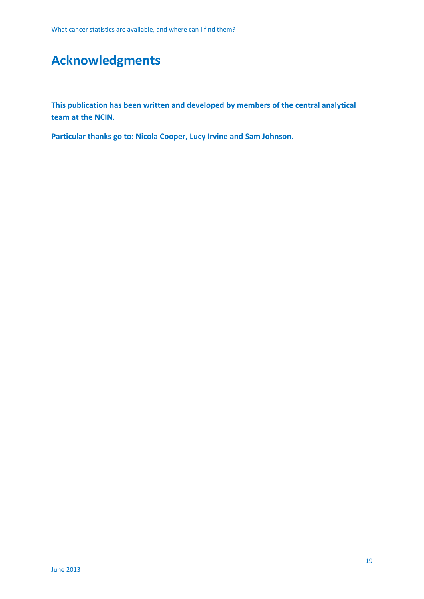## **Acknowledgments**

**This publication has been written and developed by members of the central analytical team at the NCIN.**

**Particular thanks go to: Nicola Cooper, Lucy Irvine and Sam Johnson.**